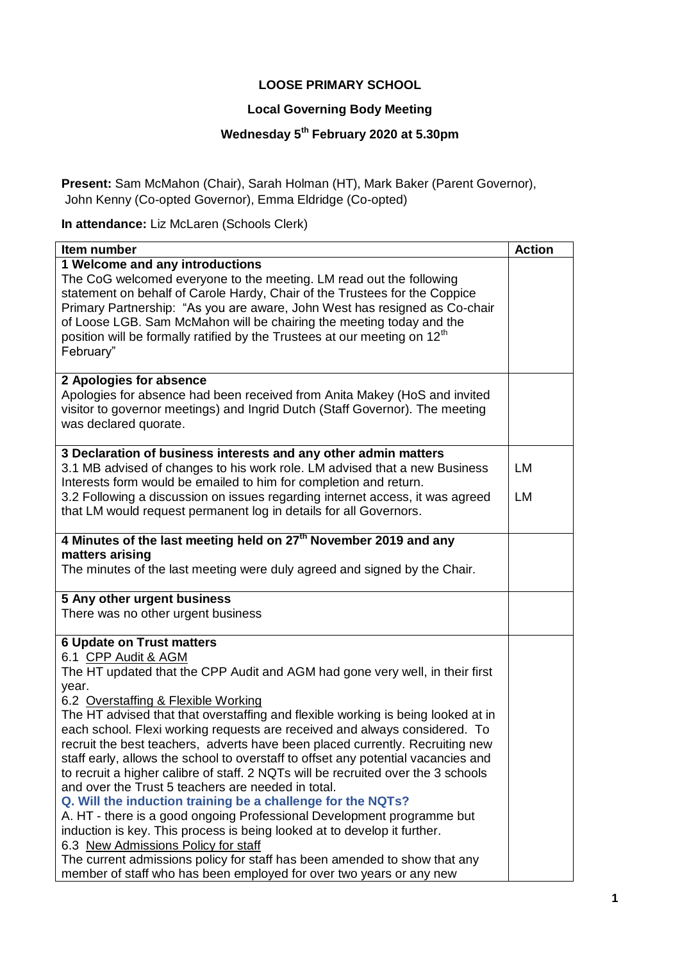## **LOOSE PRIMARY SCHOOL**

## **Local Governing Body Meeting**

## **Wednesday 5th February 2020 at 5.30pm**

**Present:** Sam McMahon (Chair), Sarah Holman (HT), Mark Baker (Parent Governor), John Kenny (Co-opted Governor), Emma Eldridge (Co-opted)

**In attendance:** Liz McLaren (Schools Clerk)

| Item number                                                                                                                                                        | <b>Action</b> |
|--------------------------------------------------------------------------------------------------------------------------------------------------------------------|---------------|
| 1 Welcome and any introductions                                                                                                                                    |               |
| The CoG welcomed everyone to the meeting. LM read out the following                                                                                                |               |
| statement on behalf of Carole Hardy, Chair of the Trustees for the Coppice                                                                                         |               |
| Primary Partnership: "As you are aware, John West has resigned as Co-chair                                                                                         |               |
| of Loose LGB. Sam McMahon will be chairing the meeting today and the                                                                                               |               |
| position will be formally ratified by the Trustees at our meeting on 12 <sup>th</sup>                                                                              |               |
| February"                                                                                                                                                          |               |
|                                                                                                                                                                    |               |
| 2 Apologies for absence                                                                                                                                            |               |
| Apologies for absence had been received from Anita Makey (HoS and invited                                                                                          |               |
| visitor to governor meetings) and Ingrid Dutch (Staff Governor). The meeting                                                                                       |               |
| was declared quorate.                                                                                                                                              |               |
|                                                                                                                                                                    |               |
| 3 Declaration of business interests and any other admin matters                                                                                                    |               |
| 3.1 MB advised of changes to his work role. LM advised that a new Business                                                                                         | LM            |
| Interests form would be emailed to him for completion and return.                                                                                                  |               |
| 3.2 Following a discussion on issues regarding internet access, it was agreed                                                                                      | LM            |
| that LM would request permanent log in details for all Governors.                                                                                                  |               |
|                                                                                                                                                                    |               |
| 4 Minutes of the last meeting held on 27 <sup>th</sup> November 2019 and any                                                                                       |               |
| matters arising                                                                                                                                                    |               |
| The minutes of the last meeting were duly agreed and signed by the Chair.                                                                                          |               |
| 5 Any other urgent business                                                                                                                                        |               |
| There was no other urgent business                                                                                                                                 |               |
|                                                                                                                                                                    |               |
| <b>6 Update on Trust matters</b>                                                                                                                                   |               |
| 6.1 CPP Audit & AGM                                                                                                                                                |               |
| The HT updated that the CPP Audit and AGM had gone very well, in their first                                                                                       |               |
| year.                                                                                                                                                              |               |
| 6.2 Overstaffing & Flexible Working                                                                                                                                |               |
| The HT advised that that overstaffing and flexible working is being looked at in                                                                                   |               |
| each school. Flexi working requests are received and always considered. To                                                                                         |               |
| recruit the best teachers, adverts have been placed currently. Recruiting new<br>staff early, allows the school to overstaff to offset any potential vacancies and |               |
| to recruit a higher calibre of staff. 2 NQTs will be recruited over the 3 schools                                                                                  |               |
| and over the Trust 5 teachers are needed in total.                                                                                                                 |               |
| Q. Will the induction training be a challenge for the NQTs?                                                                                                        |               |
| A. HT - there is a good ongoing Professional Development programme but                                                                                             |               |
| induction is key. This process is being looked at to develop it further.                                                                                           |               |
| 6.3 New Admissions Policy for staff                                                                                                                                |               |
| The current admissions policy for staff has been amended to show that any                                                                                          |               |
| member of staff who has been employed for over two years or any new                                                                                                |               |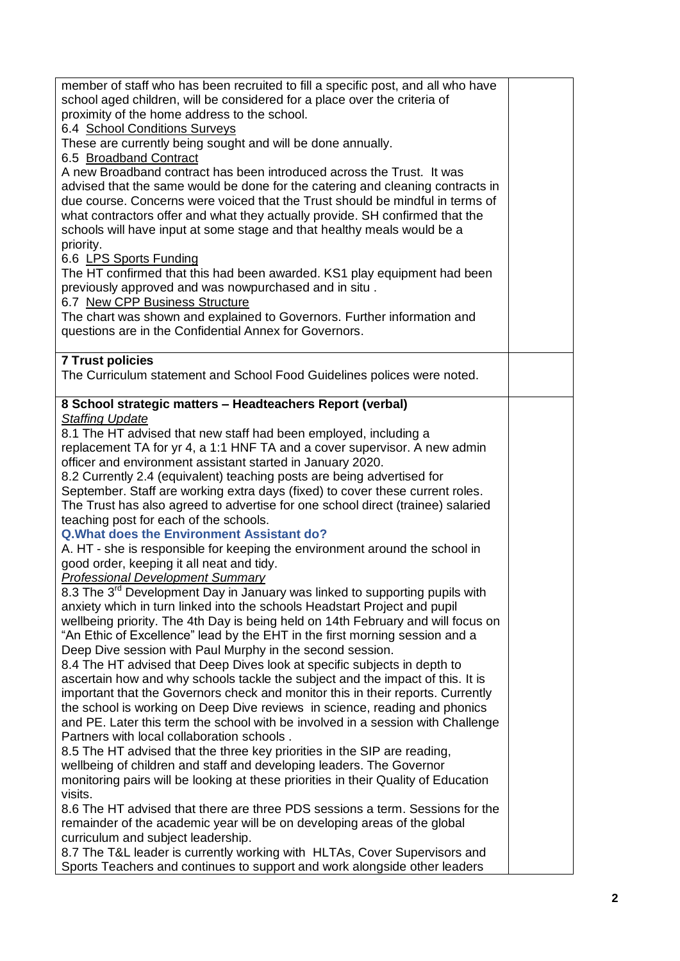| member of staff who has been recruited to fill a specific post, and all who have<br>school aged children, will be considered for a place over the criteria of |  |  |  |  |  |
|---------------------------------------------------------------------------------------------------------------------------------------------------------------|--|--|--|--|--|
| proximity of the home address to the school.                                                                                                                  |  |  |  |  |  |
| 6.4 School Conditions Surveys                                                                                                                                 |  |  |  |  |  |
| These are currently being sought and will be done annually.                                                                                                   |  |  |  |  |  |
| 6.5 Broadband Contract                                                                                                                                        |  |  |  |  |  |
| A new Broadband contract has been introduced across the Trust. It was                                                                                         |  |  |  |  |  |
| advised that the same would be done for the catering and cleaning contracts in                                                                                |  |  |  |  |  |
| due course. Concerns were voiced that the Trust should be mindful in terms of                                                                                 |  |  |  |  |  |
| what contractors offer and what they actually provide. SH confirmed that the                                                                                  |  |  |  |  |  |
| schools will have input at some stage and that healthy meals would be a                                                                                       |  |  |  |  |  |
| priority.                                                                                                                                                     |  |  |  |  |  |
| 6.6 LPS Sports Funding                                                                                                                                        |  |  |  |  |  |
| The HT confirmed that this had been awarded. KS1 play equipment had been<br>previously approved and was nowpurchased and in situ.                             |  |  |  |  |  |
| 6.7 New CPP Business Structure                                                                                                                                |  |  |  |  |  |
| The chart was shown and explained to Governors. Further information and                                                                                       |  |  |  |  |  |
| questions are in the Confidential Annex for Governors.                                                                                                        |  |  |  |  |  |
|                                                                                                                                                               |  |  |  |  |  |
| <b>7 Trust policies</b>                                                                                                                                       |  |  |  |  |  |
| The Curriculum statement and School Food Guidelines polices were noted.                                                                                       |  |  |  |  |  |
|                                                                                                                                                               |  |  |  |  |  |
| 8 School strategic matters - Headteachers Report (verbal)                                                                                                     |  |  |  |  |  |
| <b>Staffing Update</b>                                                                                                                                        |  |  |  |  |  |
| 8.1 The HT advised that new staff had been employed, including a<br>replacement TA for yr 4, a 1:1 HNF TA and a cover supervisor. A new admin                 |  |  |  |  |  |
| officer and environment assistant started in January 2020.                                                                                                    |  |  |  |  |  |
| 8.2 Currently 2.4 (equivalent) teaching posts are being advertised for                                                                                        |  |  |  |  |  |
| September. Staff are working extra days (fixed) to cover these current roles.                                                                                 |  |  |  |  |  |
| The Trust has also agreed to advertise for one school direct (trainee) salaried                                                                               |  |  |  |  |  |
| teaching post for each of the schools.                                                                                                                        |  |  |  |  |  |
| <b>Q. What does the Environment Assistant do?</b>                                                                                                             |  |  |  |  |  |
| A. HT - she is responsible for keeping the environment around the school in                                                                                   |  |  |  |  |  |
| good order, keeping it all neat and tidy.                                                                                                                     |  |  |  |  |  |
| <b>Professional Development Summary</b>                                                                                                                       |  |  |  |  |  |
| 8.3 The 3 <sup>rd</sup> Development Day in January was linked to supporting pupils with                                                                       |  |  |  |  |  |
| anxiety which in turn linked into the schools Headstart Project and pupil                                                                                     |  |  |  |  |  |
| wellbeing priority. The 4th Day is being held on 14th February and will focus on                                                                              |  |  |  |  |  |
| "An Ethic of Excellence" lead by the EHT in the first morning session and a                                                                                   |  |  |  |  |  |
| Deep Dive session with Paul Murphy in the second session.<br>8.4 The HT advised that Deep Dives look at specific subjects in depth to                         |  |  |  |  |  |
| ascertain how and why schools tackle the subject and the impact of this. It is                                                                                |  |  |  |  |  |
| important that the Governors check and monitor this in their reports. Currently                                                                               |  |  |  |  |  |
| the school is working on Deep Dive reviews in science, reading and phonics                                                                                    |  |  |  |  |  |
| and PE. Later this term the school with be involved in a session with Challenge                                                                               |  |  |  |  |  |
| Partners with local collaboration schools.                                                                                                                    |  |  |  |  |  |
| 8.5 The HT advised that the three key priorities in the SIP are reading,                                                                                      |  |  |  |  |  |
| wellbeing of children and staff and developing leaders. The Governor                                                                                          |  |  |  |  |  |
| monitoring pairs will be looking at these priorities in their Quality of Education                                                                            |  |  |  |  |  |
| visits.                                                                                                                                                       |  |  |  |  |  |
| 8.6 The HT advised that there are three PDS sessions a term. Sessions for the                                                                                 |  |  |  |  |  |
| remainder of the academic year will be on developing areas of the global                                                                                      |  |  |  |  |  |
| curriculum and subject leadership.                                                                                                                            |  |  |  |  |  |
| 8.7 The T&L leader is currently working with HLTAs, Cover Supervisors and                                                                                     |  |  |  |  |  |
| Sports Teachers and continues to support and work alongside other leaders                                                                                     |  |  |  |  |  |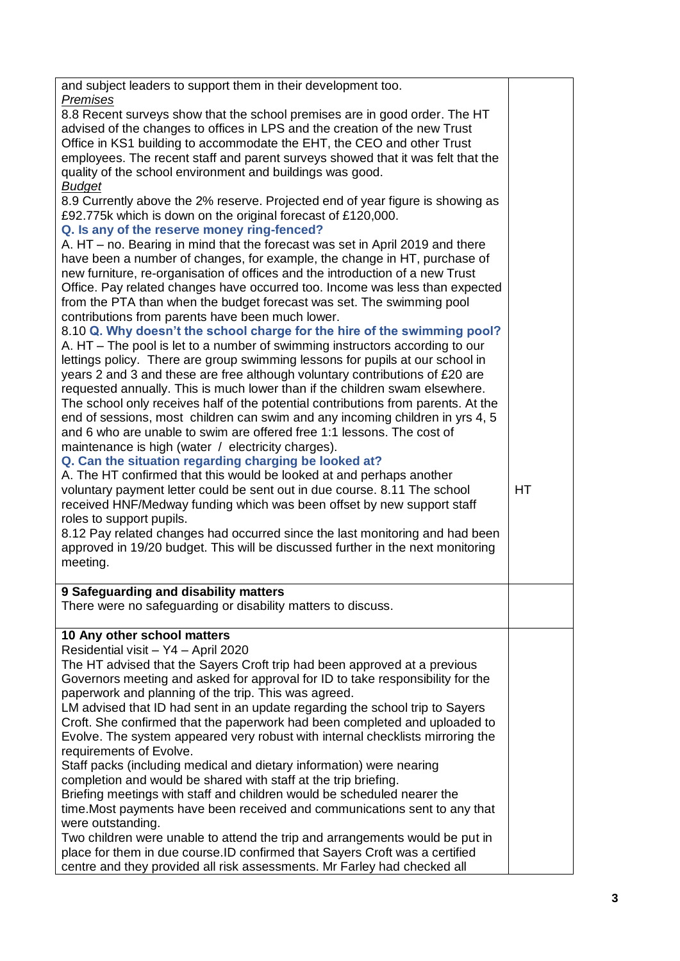| and subject leaders to support them in their development too.                                                                                                                                                                                                                                                                                                                                                                                                                                                                                                                                                                                                                                                                                                                                                                                                                                                                                                                                                                                                 |           |
|---------------------------------------------------------------------------------------------------------------------------------------------------------------------------------------------------------------------------------------------------------------------------------------------------------------------------------------------------------------------------------------------------------------------------------------------------------------------------------------------------------------------------------------------------------------------------------------------------------------------------------------------------------------------------------------------------------------------------------------------------------------------------------------------------------------------------------------------------------------------------------------------------------------------------------------------------------------------------------------------------------------------------------------------------------------|-----------|
| Premises<br>8.8 Recent surveys show that the school premises are in good order. The HT<br>advised of the changes to offices in LPS and the creation of the new Trust<br>Office in KS1 building to accommodate the EHT, the CEO and other Trust<br>employees. The recent staff and parent surveys showed that it was felt that the<br>quality of the school environment and buildings was good.                                                                                                                                                                                                                                                                                                                                                                                                                                                                                                                                                                                                                                                                |           |
| <b>Budget</b><br>8.9 Currently above the 2% reserve. Projected end of year figure is showing as<br>£92.775k which is down on the original forecast of £120,000.<br>Q. Is any of the reserve money ring-fenced?<br>A. HT – no. Bearing in mind that the forecast was set in April 2019 and there<br>have been a number of changes, for example, the change in HT, purchase of<br>new furniture, re-organisation of offices and the introduction of a new Trust<br>Office. Pay related changes have occurred too. Income was less than expected                                                                                                                                                                                                                                                                                                                                                                                                                                                                                                                 |           |
| from the PTA than when the budget forecast was set. The swimming pool<br>contributions from parents have been much lower.<br>8.10 Q. Why doesn't the school charge for the hire of the swimming pool?<br>A. HT – The pool is let to a number of swimming instructors according to our<br>lettings policy. There are group swimming lessons for pupils at our school in<br>years 2 and 3 and these are free although voluntary contributions of £20 are<br>requested annually. This is much lower than if the children swam elsewhere.<br>The school only receives half of the potential contributions from parents. At the<br>end of sessions, most children can swim and any incoming children in yrs 4, 5<br>and 6 who are unable to swim are offered free 1:1 lessons. The cost of<br>maintenance is high (water / electricity charges).<br>Q. Can the situation regarding charging be looked at?                                                                                                                                                          |           |
| A. The HT confirmed that this would be looked at and perhaps another<br>voluntary payment letter could be sent out in due course. 8.11 The school<br>received HNF/Medway funding which was been offset by new support staff<br>roles to support pupils.<br>8.12 Pay related changes had occurred since the last monitoring and had been<br>approved in 19/20 budget. This will be discussed further in the next monitoring<br>meeting.                                                                                                                                                                                                                                                                                                                                                                                                                                                                                                                                                                                                                        | <b>HT</b> |
| 9 Safeguarding and disability matters<br>There were no safeguarding or disability matters to discuss.                                                                                                                                                                                                                                                                                                                                                                                                                                                                                                                                                                                                                                                                                                                                                                                                                                                                                                                                                         |           |
| 10 Any other school matters<br>Residential visit - Y4 - April 2020<br>The HT advised that the Sayers Croft trip had been approved at a previous<br>Governors meeting and asked for approval for ID to take responsibility for the<br>paperwork and planning of the trip. This was agreed.<br>LM advised that ID had sent in an update regarding the school trip to Sayers<br>Croft. She confirmed that the paperwork had been completed and uploaded to<br>Evolve. The system appeared very robust with internal checklists mirroring the<br>requirements of Evolve.<br>Staff packs (including medical and dietary information) were nearing<br>completion and would be shared with staff at the trip briefing.<br>Briefing meetings with staff and children would be scheduled nearer the<br>time. Most payments have been received and communications sent to any that<br>were outstanding.<br>Two children were unable to attend the trip and arrangements would be put in<br>place for them in due course. ID confirmed that Sayers Croft was a certified |           |
| centre and they provided all risk assessments. Mr Farley had checked all                                                                                                                                                                                                                                                                                                                                                                                                                                                                                                                                                                                                                                                                                                                                                                                                                                                                                                                                                                                      |           |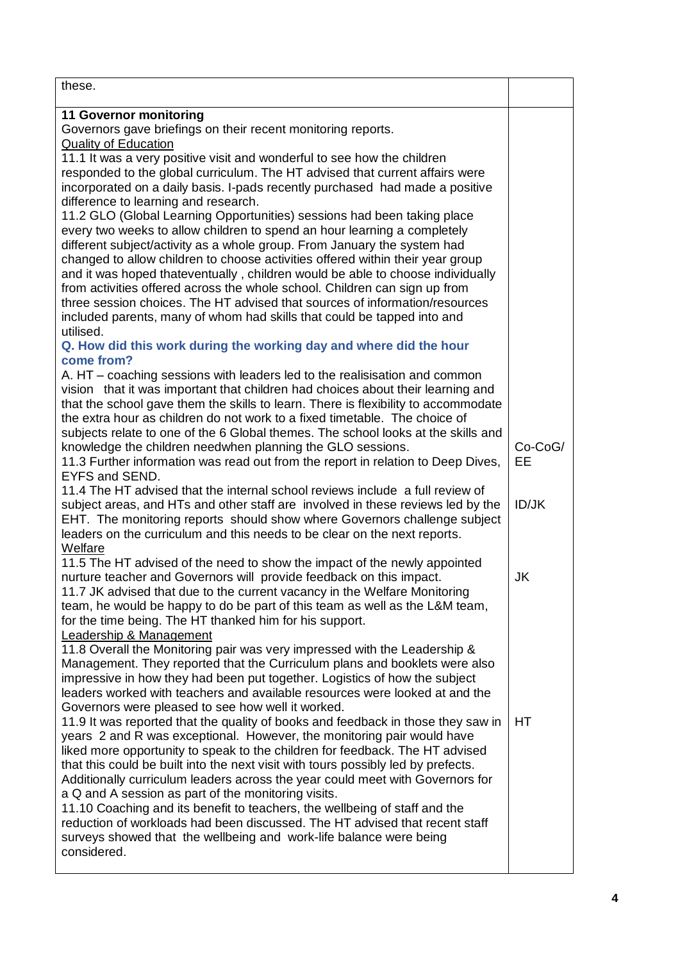| these.                                                                                                                                                     |              |
|------------------------------------------------------------------------------------------------------------------------------------------------------------|--------------|
| 11 Governor monitoring                                                                                                                                     |              |
| Governors gave briefings on their recent monitoring reports.                                                                                               |              |
| <b>Quality of Education</b>                                                                                                                                |              |
| 11.1 It was a very positive visit and wonderful to see how the children<br>responded to the global curriculum. The HT advised that current affairs were    |              |
| incorporated on a daily basis. I-pads recently purchased had made a positive                                                                               |              |
| difference to learning and research.                                                                                                                       |              |
| 11.2 GLO (Global Learning Opportunities) sessions had been taking place                                                                                    |              |
| every two weeks to allow children to spend an hour learning a completely                                                                                   |              |
| different subject/activity as a whole group. From January the system had                                                                                   |              |
| changed to allow children to choose activities offered within their year group                                                                             |              |
| and it was hoped thateventually, children would be able to choose individually                                                                             |              |
| from activities offered across the whole school. Children can sign up from                                                                                 |              |
| three session choices. The HT advised that sources of information/resources                                                                                |              |
| included parents, many of whom had skills that could be tapped into and<br>utilised.                                                                       |              |
| Q. How did this work during the working day and where did the hour                                                                                         |              |
| come from?                                                                                                                                                 |              |
| A. HT – coaching sessions with leaders led to the realisisation and common                                                                                 |              |
| vision that it was important that children had choices about their learning and                                                                            |              |
| that the school gave them the skills to learn. There is flexibility to accommodate                                                                         |              |
| the extra hour as children do not work to a fixed timetable. The choice of                                                                                 |              |
| subjects relate to one of the 6 Global themes. The school looks at the skills and                                                                          |              |
| knowledge the children needwhen planning the GLO sessions.                                                                                                 | Co-CoG/      |
| 11.3 Further information was read out from the report in relation to Deep Dives,<br>EYFS and SEND.                                                         | EЕ           |
| 11.4 The HT advised that the internal school reviews include a full review of                                                                              |              |
| subject areas, and HTs and other staff are involved in these reviews led by the                                                                            | <b>ID/JK</b> |
| EHT. The monitoring reports should show where Governors challenge subject                                                                                  |              |
| leaders on the curriculum and this needs to be clear on the next reports.                                                                                  |              |
| Welfare                                                                                                                                                    |              |
| 11.5 The HT advised of the need to show the impact of the newly appointed                                                                                  |              |
| nurture teacher and Governors will provide feedback on this impact.                                                                                        | JK           |
| 11.7 JK advised that due to the current vacancy in the Welfare Monitoring                                                                                  |              |
| team, he would be happy to do be part of this team as well as the L&M team,<br>for the time being. The HT thanked him for his support.                     |              |
| Leadership & Management                                                                                                                                    |              |
| 11.8 Overall the Monitoring pair was very impressed with the Leadership &                                                                                  |              |
| Management. They reported that the Curriculum plans and booklets were also                                                                                 |              |
| impressive in how they had been put together. Logistics of how the subject                                                                                 |              |
| leaders worked with teachers and available resources were looked at and the                                                                                |              |
| Governors were pleased to see how well it worked.                                                                                                          |              |
| 11.9 It was reported that the quality of books and feedback in those they saw in<br>years 2 and R was exceptional. However, the monitoring pair would have | HT           |
| liked more opportunity to speak to the children for feedback. The HT advised                                                                               |              |
| that this could be built into the next visit with tours possibly led by prefects.                                                                          |              |
| Additionally curriculum leaders across the year could meet with Governors for                                                                              |              |
| a Q and A session as part of the monitoring visits.                                                                                                        |              |
| 11.10 Coaching and its benefit to teachers, the wellbeing of staff and the                                                                                 |              |
| reduction of workloads had been discussed. The HT advised that recent staff                                                                                |              |
| surveys showed that the wellbeing and work-life balance were being                                                                                         |              |
| considered.                                                                                                                                                |              |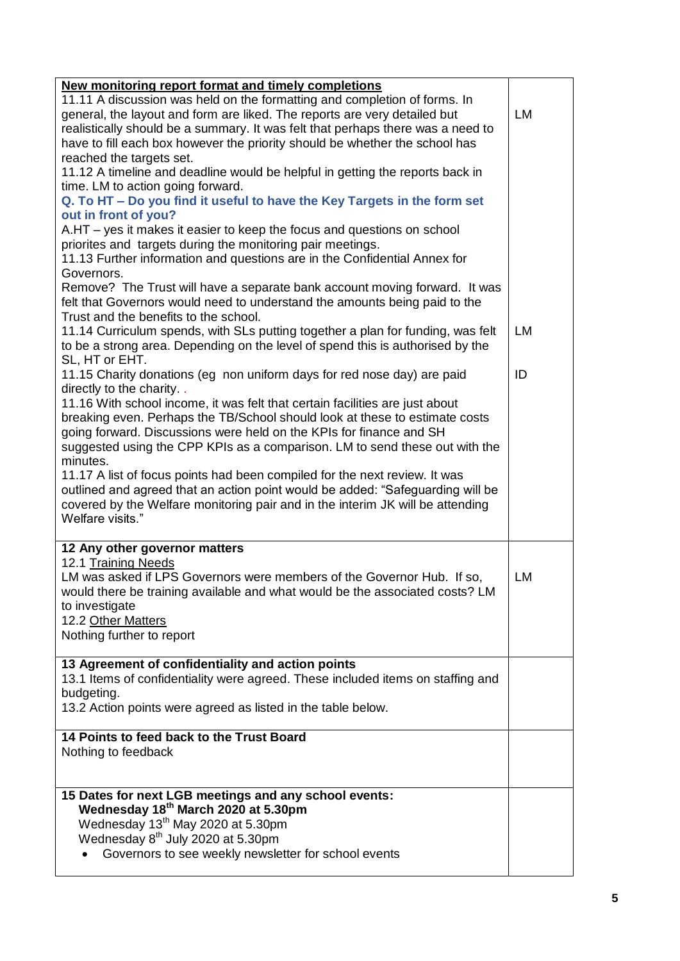| New monitoring report format and timely completions<br>11.11 A discussion was held on the formatting and completion of forms. In<br>general, the layout and form are liked. The reports are very detailed but<br>realistically should be a summary. It was felt that perhaps there was a need to<br>have to fill each box however the priority should be whether the school has |    |
|---------------------------------------------------------------------------------------------------------------------------------------------------------------------------------------------------------------------------------------------------------------------------------------------------------------------------------------------------------------------------------|----|
| reached the targets set.<br>11.12 A timeline and deadline would be helpful in getting the reports back in                                                                                                                                                                                                                                                                       |    |
| time. LM to action going forward.                                                                                                                                                                                                                                                                                                                                               |    |
| Q. To HT - Do you find it useful to have the Key Targets in the form set                                                                                                                                                                                                                                                                                                        |    |
| out in front of you?<br>A.HT – yes it makes it easier to keep the focus and questions on school                                                                                                                                                                                                                                                                                 |    |
| priorites and targets during the monitoring pair meetings.<br>11.13 Further information and questions are in the Confidential Annex for                                                                                                                                                                                                                                         |    |
| Governors.                                                                                                                                                                                                                                                                                                                                                                      |    |
| Remove? The Trust will have a separate bank account moving forward. It was<br>felt that Governors would need to understand the amounts being paid to the                                                                                                                                                                                                                        |    |
| Trust and the benefits to the school.                                                                                                                                                                                                                                                                                                                                           | LM |
| 11.14 Curriculum spends, with SLs putting together a plan for funding, was felt<br>to be a strong area. Depending on the level of spend this is authorised by the<br>SL, HT or EHT.                                                                                                                                                                                             |    |
| 11.15 Charity donations (eg non uniform days for red nose day) are paid<br>directly to the charity                                                                                                                                                                                                                                                                              | ID |
| 11.16 With school income, it was felt that certain facilities are just about<br>breaking even. Perhaps the TB/School should look at these to estimate costs<br>going forward. Discussions were held on the KPIs for finance and SH<br>suggested using the CPP KPIs as a comparison. LM to send these out with the                                                               |    |
| minutes.<br>11.17 A list of focus points had been compiled for the next review. It was<br>outlined and agreed that an action point would be added: "Safeguarding will be<br>covered by the Welfare monitoring pair and in the interim JK will be attending<br>Welfare visits."                                                                                                  |    |
| 12 Any other governor matters                                                                                                                                                                                                                                                                                                                                                   |    |
| 12.1 Training Needs<br>LM was asked if LPS Governors were members of the Governor Hub. If so,<br>would there be training available and what would be the associated costs? LM<br>to investigate<br>12.2 Other Matters                                                                                                                                                           | LM |
| Nothing further to report                                                                                                                                                                                                                                                                                                                                                       |    |
| 13 Agreement of confidentiality and action points                                                                                                                                                                                                                                                                                                                               |    |
| 13.1 Items of confidentiality were agreed. These included items on staffing and                                                                                                                                                                                                                                                                                                 |    |
| budgeting.<br>13.2 Action points were agreed as listed in the table below.                                                                                                                                                                                                                                                                                                      |    |
| 14 Points to feed back to the Trust Board                                                                                                                                                                                                                                                                                                                                       |    |
| Nothing to feedback                                                                                                                                                                                                                                                                                                                                                             |    |
| 15 Dates for next LGB meetings and any school events:                                                                                                                                                                                                                                                                                                                           |    |
| Wednesday 18th March 2020 at 5.30pm                                                                                                                                                                                                                                                                                                                                             |    |
| Wednesday 13 <sup>th</sup> May 2020 at 5.30pm                                                                                                                                                                                                                                                                                                                                   |    |
| Wednesday 8 <sup>th</sup> July 2020 at 5.30pm<br>Governors to see weekly newsletter for school events                                                                                                                                                                                                                                                                           |    |
|                                                                                                                                                                                                                                                                                                                                                                                 |    |